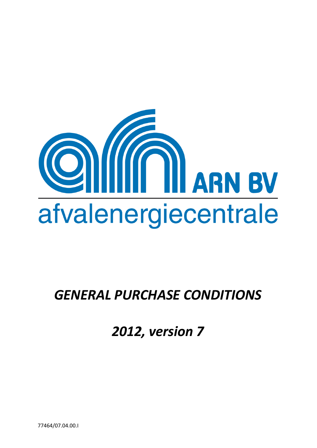

# *GENERAL PURCHASE CONDITIONS*

*2012, version 7*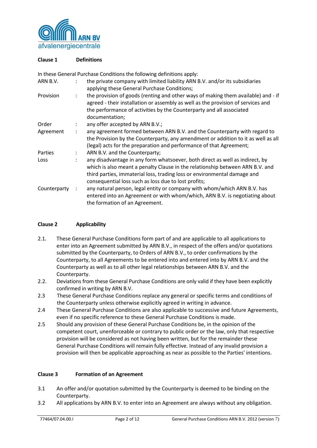

# **Clause 1 Definitions**

In these General Purchase Conditions the following definitions apply:

| ARN B.V.     | ÷                    | the private company with limited liability ARN B.V. and/or its subsidiaries<br>applying these General Purchase Conditions;                                                                                                                                                                        |
|--------------|----------------------|---------------------------------------------------------------------------------------------------------------------------------------------------------------------------------------------------------------------------------------------------------------------------------------------------|
| Provision    | $\ddot{\phantom{a}}$ | the provision of goods (renting and other ways of making them available) and - if<br>agreed - their installation or assembly as well as the provision of services and<br>the performance of activities by the Counterparty and all associated<br>documentation;                                   |
| Order        |                      | any offer accepted by ARN B.V.;                                                                                                                                                                                                                                                                   |
| Agreement    |                      | any agreement formed between ARN B.V. and the Counterparty with regard to<br>the Provision by the Counterparty, any amendment or addition to it as well as all<br>(legal) acts for the preparation and performance of that Agreement;                                                             |
| Parties      |                      | ARN B.V. and the Counterparty;                                                                                                                                                                                                                                                                    |
| Loss         |                      | any disadvantage in any form whatsoever, both direct as well as indirect, by<br>which is also meant a penalty Clause in the relationship between ARN B.V. and<br>third parties, immaterial loss, trading loss or environmental damage and<br>consequential loss such as loss due to lost profits; |
| Counterparty | ÷                    | any natural person, legal entity or company with whom/which ARN B.V. has<br>entered into an Agreement or with whom/which, ARN B.V. is negotiating about<br>the formation of an Agreement.                                                                                                         |

# **Clause 2 Applicability**

- 2.1. These General Purchase Conditions form part of and are applicable to all applications to enter into an Agreement submitted by ARN B.V., in respect of the offers and/or quotations submitted by the Counterparty, to Orders of ARN B.V., to order confirmations by the Counterparty, to all Agreements to be entered into and entered into by ARN B.V. and the Counterparty as well as to all other legal relationships between ARN B.V. and the Counterparty.
- 2.2. Deviations from these General Purchase Conditions are only valid if they have been explicitly confirmed in writing by ARN B.V.
- 2.3 These General Purchase Conditions replace any general or specific terms and conditions of the Counterparty unless otherwise explicitly agreed in writing in advance.
- 2.4 These General Purchase Conditions are also applicable to successive and future Agreements, even if no specific reference to these General Purchase Conditions is made.
- 2.5 Should any provision of these General Purchase Conditions be, in the opinion of the competent court, unenforceable or contrary to public order or the law, only that respective provision will be considered as not having been written, but for the remainder these General Purchase Conditions will remain fully effective. Instead of any invalid provision a provision will then be applicable approaching as near as possible to the Parties' intentions.

#### **Clause 3 Formation of an Agreement**

- 3.1 An offer and/or quotation submitted by the Counterparty is deemed to be binding on the Counterparty.
- 3.2 All applications by ARN B.V. to enter into an Agreement are always without any obligation.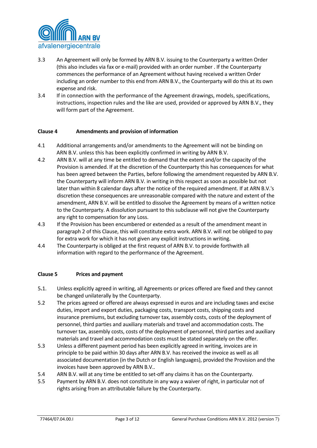

- 3.3 An Agreement will only be formed by ARN B.V. issuing to the Counterparty a written Order (this also includes via fax or e-mail) provided with an order number . If the Counterparty commences the performance of an Agreement without having received a written Order including an order number to this end from ARN B.V., the Counterparty will do this at its own expense and risk.
- 3.4 If in connection with the performance of the Agreement drawings, models, specifications, instructions, inspection rules and the like are used, provided or approved by ARN B.V., they will form part of the Agreement.

#### **Clause 4 Amendments and provision of information**

- 4.1 Additional arrangements and/or amendments to the Agreement will not be binding on ARN B.V. unless this has been explicitly confirmed in writing by ARN B.V.
- 4.2 ARN B.V. will at any time be entitled to demand that the extent and/or the capacity of the Provision is amended. If at the discretion of the Counterparty this has consequences for what has been agreed between the Parties, before following the amendment requested by ARN B.V. the Counterparty will inform ARN B.V. in writing in this respect as soon as possible but not later than within 8 calendar days after the notice of the required amendment. If at ARN B.V.'s discretion these consequences are unreasonable compared with the nature and extent of the amendment, ARN B.V. will be entitled to dissolve the Agreement by means of a written notice to the Counterparty. A dissolution pursuant to this subclause will not give the Counterparty any right to compensation for any Loss.
- 4.3 If the Provision has been encumbered or extended as a result of the amendment meant in paragraph 2 of this Clause, this will constitute extra work. ARN B.V. will not be obliged to pay for extra work for which it has not given any explicit instructions in writing.
- 4.4 The Counterparty is obliged at the first request of ARN B.V. to provide forthwith all information with regard to the performance of the Agreement.

#### **Clause 5 Prices and payment**

- 5**.**1. Unless explicitly agreed in writing, all Agreements or prices offered are fixed and they cannot be changed unilaterally by the Counterparty.
- 5.2 The prices agreed or offered are always expressed in euros and are including taxes and excise duties, import and export duties, packaging costs, transport costs, shipping costs and insurance premiums, but excluding turnover tax, assembly costs, costs of the deployment of personnel, third parties and auxiliary materials and travel and accommodation costs. The turnover tax, assembly costs, costs of the deployment of personnel, third parties and auxiliary materials and travel and accommodation costs must be stated separately on the offer.
- 5.3 Unless a different payment period has been explicitly agreed in writing, invoices are in principle to be paid within 30 days after ARN B.V. has received the invoice as well as all associated documentation (in the Dutch or English languages), provided the Provision and the invoices have been approved by ARN B.V..
- 5.4 ARN B.V. will at any time be entitled to set-off any claims it has on the Counterparty.
- 5.5 Payment by ARN B.V. does not constitute in any way a waiver of right, in particular not of rights arising from an attributable failure by the Counterparty.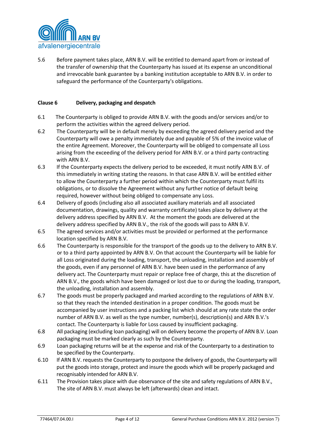

5.6 Before payment takes place, ARN B.V. will be entitled to demand apart from or instead of the transfer of ownership that the Counterparty has issued at its expense an unconditional and irrevocable bank guarantee by a banking institution acceptable to ARN B.V. in order to safeguard the performance of the Counterparty's obligations.

#### **Clause 6 Delivery, packaging and despatch**

- 6.1 The Counterparty is obliged to provide ARN B.V. with the goods and/or services and/or to perform the activities within the agreed delivery period.
- 6.2 The Counterparty will be in default merely by exceeding the agreed delivery period and the Counterparty will owe a penalty immediately due and payable of 5% of the invoice value of the entire Agreement. Moreover, the Counterparty will be obliged to compensate all Loss arising from the exceeding of the delivery period for ARN B.V. or a third party contracting with ARN B.V.
- 6.3 If the Counterparty expects the delivery period to be exceeded, it must notify ARN B.V. of this immediately in writing stating the reasons. In that case ARN B.V. will be entitled either to allow the Counterparty a further period within which the Counterparty must fulfil its obligations, or to dissolve the Agreement without any further notice of default being required, however without being obliged to compensate any Loss.
- 6.4 Delivery of goods (including also all associated auxiliary materials and all associated documentation, drawings, quality and warranty certificate) takes place by delivery at the delivery address specified by ARN B.V. At the moment the goods are delivered at the delivery address specified by ARN B.V., the risk of the goods will pass to ARN B.V.
- 6.5 The agreed services and/or activities must be provided or performed at the performance location specified by ARN B.V.
- 6.6 The Counterparty is responsible for the transport of the goods up to the delivery to ARN B.V. or to a third party appointed by ARN B.V. On that account the Counterparty will be liable for all Loss originated during the loading, transport, the unloading, installation and assembly of the goods, even if any personnel of ARN B.V. have been used in the performance of any delivery act. The Counterparty must repair or replace free of charge, this at the discretion of ARN B.V., the goods which have been damaged or lost due to or during the loading, transport, the unloading, installation and assembly.
- 6.7 The goods must be properly packaged and marked according to the regulations of ARN B.V. so that they reach the intended destination in a proper condition. The goods must be accompanied by user instructions and a packing list which should at any rate state the order number of ARN B.V. as well as the type number, number(s), description(s) and ARN B.V.'s contact. The Counterparty is liable for Loss caused by insufficient packaging.
- 6.8 All packaging (excluding loan packaging) will on delivery become the property of ARN B.V. Loan packaging must be marked clearly as such by the Counterparty.
- 6.9 Loan packaging returns will be at the expense and risk of the Counterparty to a destination to be specified by the Counterparty.
- 6.10 If ARN B.V. requests the Counterparty to postpone the delivery of goods, the Counterparty will put the goods into storage, protect and insure the goods which will be properly packaged and recognisably intended for ARN B.V.
- 6.11 The Provision takes place with due observance of the site and safety regulations of ARN B.V., The site of ARN B.V. must always be left (afterwards) clean and intact.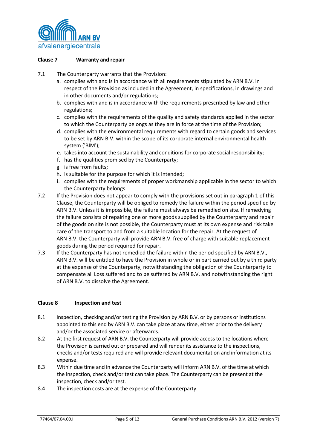

#### **Clause 7 Warranty and repair**

- 7.1 The Counterparty warrants that the Provision:
	- a. complies with and is in accordance with all requirements stipulated by ARN B.V. in respect of the Provision as included in the Agreement, in specifications, in drawings and in other documents and/or regulations;
	- b. complies with and is in accordance with the requirements prescribed by law and other regulations;
	- c. complies with the requirements of the quality and safety standards applied in the sector to which the Counterparty belongs as they are in force at the time of the Provision;
	- d. complies with the environmental requirements with regard to certain goods and services to be set by ARN B.V. within the scope of its corporate internal environmental health system ('BIM');
	- e. takes into account the sustainability and conditions for corporate social responsibility;
	- f. has the qualities promised by the Counterparty;
	- g. is free from faults;
	- h. is suitable for the purpose for which it is intended;
	- i. complies with the requirements of proper workmanship applicable in the sector to which the Counterparty belongs.
- 7.2 If the Provision does not appear to comply with the provisions set out in paragraph 1 of this Clause, the Counterparty will be obliged to remedy the failure within the period specified by ARN B.V. Unless it is impossible, the failure must always be remedied on site. If remedying the failure consists of repairing one or more goods supplied by the Counterparty and repair of the goods on site is not possible, the Counterparty must at its own expense and risk take care of the transport to and from a suitable location for the repair. At the request of ARN B.V. the Counterparty will provide ARN B.V. free of charge with suitable replacement goods during the period required for repair.
- 7.3 If the Counterparty has not remedied the failure within the period specified by ARN B.V., ARN B.V. will be entitled to have the Provision in whole or in part carried out by a third party at the expense of the Counterparty, notwithstanding the obligation of the Counterparty to compensate all Loss suffered and to be suffered by ARN B.V. and notwithstanding the right of ARN B.V. to dissolve the Agreement.

#### **Clause 8 Inspection and test**

- 8.1 Inspection, checking and/or testing the Provision by ARN B.V. or by persons or institutions appointed to this end by ARN B.V. can take place at any time, either prior to the delivery and/or the associated service or afterwards.
- 8.2 At the first request of ARN B.V. the Counterparty will provide access to the locations where the Provision is carried out or prepared and will render its assistance to the inspections, checks and/or tests required and will provide relevant documentation and information at its expense.
- 8.3 Within due time and in advance the Counterparty will inform ARN B.V. of the time at which the inspection, check and/or test can take place. The Counterparty can be present at the inspection, check and/or test.
- 8.4 The inspection costs are at the expense of the Counterparty.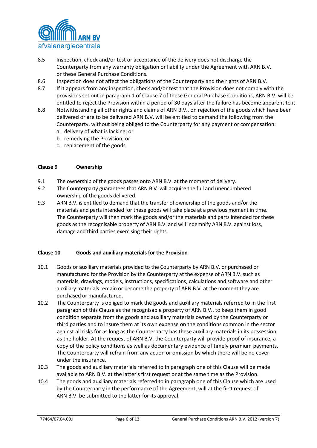

- 8.5 Inspection, check and/or test or acceptance of the delivery does not discharge the Counterparty from any warranty obligation or liability under the Agreement with ARN B.V. or these General Purchase Conditions.
- 8.6 Inspection does not affect the obligations of the Counterparty and the rights of ARN B.V.
- 8.7 If it appears from any inspection, check and/or test that the Provision does not comply with the provisions set out in paragraph 1 of Clause 7 of these General Purchase Conditions, ARN B.V. will be entitled to reject the Provision within a period of 30 days after the failure has become apparent to it.
- 8.8 Notwithstanding all other rights and claims of ARN B.V., on rejection of the goods which have been delivered or are to be delivered ARN B.V. will be entitled to demand the following from the Counterparty, without being obliged to the Counterparty for any payment or compensation:
	- a. delivery of what is lacking; or
	- b. remedying the Provision; or
	- c. replacement of the goods.

#### **Clause 9 Ownership**

- 9.1 The ownership of the goods passes onto ARN B.V. at the moment of delivery.
- 9.2 The Counterparty guarantees that ARN B.V. will acquire the full and unencumbered ownership of the goods delivered.
- 9.3 ARN B.V. is entitled to demand that the transfer of ownership of the goods and/or the materials and parts intended for these goods will take place at a previous moment in time. The Counterparty will then mark the goods and/or the materials and parts intended for these goods as the recognisable property of ARN B.V. and will indemnify ARN B.V. against loss, damage and third parties exercising their rights.

#### **Clause 10 Goods and auxiliary materials for the Provision**

- 10.1 Goods or auxiliary materials provided to the Counterparty by ARN B.V. or purchased or manufactured for the Provision by the Counterparty at the expense of ARN B.V. such as materials, drawings, models, instructions, specifications, calculations and software and other auxiliary materials remain or become the property of ARN B.V. at the moment they are purchased or manufactured.
- 10.2 The Counterparty is obliged to mark the goods and auxiliary materials referred to in the first paragraph of this Clause as the recognisable property of ARN B.V., to keep them in good condition separate from the goods and auxiliary materials owned by the Counterparty or third parties and to insure them at its own expense on the conditions common in the sector against all risks for as long as the Counterparty has these auxiliary materials in its possession as the holder. At the request of ARN B.V. the Counterparty will provide proof of insurance, a copy of the policy conditions as well as documentary evidence of timely premium payments. The Counterparty will refrain from any action or omission by which there will be no cover under the insurance.
- 10.3 The goods and auxiliary materials referred to in paragraph one of this Clause will be made available to ARN B.V. at the latter's first request or at the same time as the Provision.
- 10.4 The goods and auxiliary materials referred to in paragraph one of this Clause which are used by the Counterparty in the performance of the Agreement, will at the first request of ARN B.V. be submitted to the latter for its approval.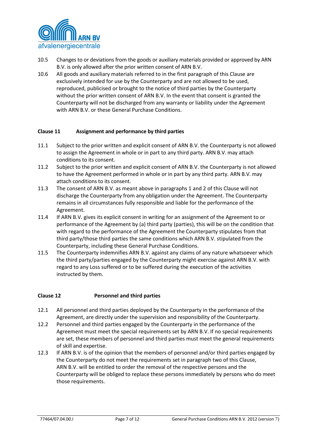

- 10.5 Changes to or deviations from the goods or auxiliary materials provided or approved by ARN B.V. is only allowed after the prior written consent of ARN B.V.
- 10.6 All goods and auxiliary materials referred to in the first paragraph of this Clause are exclusively intended for use by the Counterparty and are not allowed to be used, reproduced, publicised or brought to the notice of third parties by the Counterparty without the prior written consent of ARN B.V. In the event that consent is granted the Counterparty will not be discharged from any warranty or liability under the Agreement with ARN B.V. or these General Purchase Conditions.

# **Clause 11 Assignment and performance by third parties**

- 11.1 Subject to the prior written and explicit consent of ARN B.V. the Counterparty is not allowed to assign the Agreement in whole or in part to any third party. ARN B.V. may attach conditions to its consent.
- 11.2 Subject to the prior written and explicit consent of ARN B.V. the Counterparty is not allowed to have the Agreement performed in whole or in part by any third party. ARN B.V. may attach conditions to its consent.
- 11.3 The consent of ARN B.V. as meant above in paragraphs 1 and 2 of this Clause will not discharge the Counterparty from any obligation under the Agreement. The Counterparty remains in all circumstances fully responsible and liable for the performance of the Agreement.
- 11.4 If ARN B.V. gives its explicit consent in writing for an assignment of the Agreement to or performance of the Agreement by (a) third party (parties), this will be on the condition that with regard to the performance of the Agreement the Counterparty stipulates from that third party/those third parties the same conditions which ARN B.V. stipulated from the Counterparty, including these General Purchase Conditions.
- 11.5 The Counterparty indemnifies ARN B.V. against any claims of any nature whatsoever which the third party/parties engaged by the Counterparty might exercise against ARN B.V. with regard to any Loss suffered or to be suffered during the execution of the activities instructed by them.

#### **Clause 12 Personnel and third parties**

- 12.1 All personnel and third parties deployed by the Counterparty in the performance of the Agreement, are directly under the supervision and responsibility of the Counterparty.
- 12.2 Personnel and third parties engaged by the Counterparty in the performance of the Agreement must meet the special requirements set by ARN B.V. If no special requirements are set, these members of personnel and third parties must meet the general requirements of skill and expertise.
- 12.3 If ARN B.V. is of the opinion that the members of personnel and/or third parties engaged by the Counterparty do not meet the requirements set in paragraph two of this Clause, ARN B.V. will be entitled to order the removal of the respective persons and the Counterparty will be obliged to replace these persons immediately by persons who do meet those requirements.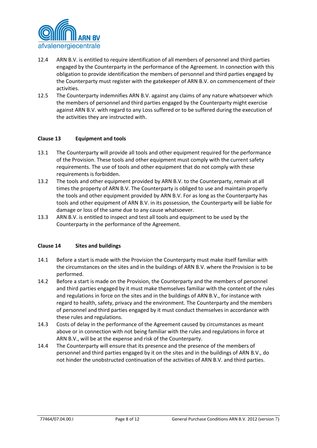

- 12.4 ARN B.V. is entitled to require identification of all members of personnel and third parties engaged by the Counterparty in the performance of the Agreement. In connection with this obligation to provide identification the members of personnel and third parties engaged by the Counterparty must register with the gatekeeper of ARN B.V. on commencement of their activities.
- 12.5 The Counterparty indemnifies ARN B.V. against any claims of any nature whatsoever which the members of personnel and third parties engaged by the Counterparty might exercise against ARN B.V. with regard to any Loss suffered or to be suffered during the execution of the activities they are instructed with.

# **Clause 13 Equipment and tools**

- 13.1 The Counterparty will provide all tools and other equipment required for the performance of the Provision. These tools and other equipment must comply with the current safety requirements. The use of tools and other equipment that do not comply with these requirements is forbidden.
- 13.2 The tools and other equipment provided by ARN B.V. to the Counterparty, remain at all times the property of ARN B.V. The Counterparty is obliged to use and maintain properly the tools and other equipment provided by ARN B.V. For as long as the Counterparty has tools and other equipment of ARN B.V. in its possession, the Counterparty will be liable for damage or loss of the same due to any cause whatsoever.
- 13.3 ARN B.V. is entitled to inspect and test all tools and equipment to be used by the Counterparty in the performance of the Agreement.

#### **Clause 14 Sites and buildings**

- 14.1 Before a start is made with the Provision the Counterparty must make itself familiar with the circumstances on the sites and in the buildings of ARN B.V. where the Provision is to be performed.
- 14.2 Before a start is made on the Provision, the Counterparty and the members of personnel and third parties engaged by it must make themselves familiar with the content of the rules and regulations in force on the sites and in the buildings of ARN B.V., for instance with regard to health, safety, privacy and the environment. The Counterparty and the members of personnel and third parties engaged by it must conduct themselves in accordance with these rules and regulations.
- 14.3 Costs of delay in the performance of the Agreement caused by circumstances as meant above or in connection with not being familiar with the rules and regulations in force at ARN B.V., will be at the expense and risk of the Counterparty.
- 14.4 The Counterparty will ensure that its presence and the presence of the members of personnel and third parties engaged by it on the sites and in the buildings of ARN B.V., do not hinder the unobstructed continuation of the activities of ARN B.V. and third parties.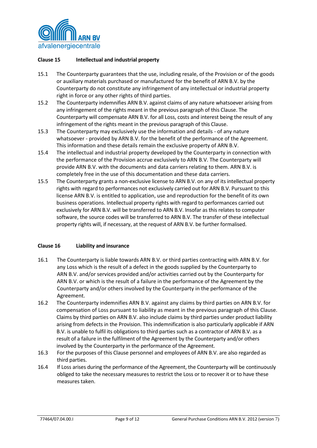

# **Clause 15 Intellectual and industrial property**

- 15.1 The Counterparty guarantees that the use, including resale, of the Provision or of the goods or auxiliary materials purchased or manufactured for the benefit of ARN B.V. by the Counterparty do not constitute any infringement of any intellectual or industrial property right in force or any other rights of third parties.
- 15.2 The Counterparty indemnifies ARN B.V. against claims of any nature whatsoever arising from any infringement of the rights meant in the previous paragraph of this Clause. The Counterparty will compensate ARN B.V. for all Loss, costs and interest being the result of any infringement of the rights meant in the previous paragraph of this Clause.
- 15.3 The Counterparty may exclusively use the information and details of any nature whatsoever - provided by ARN B.V. for the benefit of the performance of the Agreement. This information and these details remain the exclusive property of ARN B.V.
- 15.4 The intellectual and industrial property developed by the Counterparty in connection with the performance of the Provision accrue exclusively to ARN B.V. The Counterparty will provide ARN B.V. with the documents and data carriers relating to them. ARN B.V. is completely free in the use of this documentation and these data carriers.
- 15.5 The Counterparty grants a non-exclusive license to ARN B.V. on any of its intellectual property rights with regard to performances not exclusively carried out for ARN B.V. Pursuant to this license ARN B.V. is entitled to application, use and reproduction for the benefit of its own business operations. Intellectual property rights with regard to performances carried out exclusively for ARN B.V. will be transferred to ARN B.V. Insofar as this relates to computer software, the source codes will be transferred to ARN B.V. The transfer of these intellectual property rights will, if necessary, at the request of ARN B.V. be further formalised.

#### **Clause 16 Liability and insurance**

- 16.1 The Counterparty is liable towards ARN B.V. or third parties contracting with ARN B.V. for any Loss which is the result of a defect in the goods supplied by the Counterparty to ARN B.V. and/or services provided and/or activities carried out by the Counterparty for ARN B.V. or which is the result of a failure in the performance of the Agreement by the Counterparty and/or others involved by the Counterparty in the performance of the Agreement.
- 16.2 The Counterparty indemnifies ARN B.V. against any claims by third parties on ARN B.V. for compensation of Loss pursuant to liability as meant in the previous paragraph of this Clause. Claims by third parties on ARN B.V. also include claims by third parties under product liability arising from defects in the Provision. This indemnification is also particularly applicable if ARN B.V. is unable to fulfil its obligations to third parties such as a contractor of ARN B.V. as a result of a failure in the fulfilment of the Agreement by the Counterparty and/or others involved by the Counterparty in the performance of the Agreement.
- 16.3 For the purposes of this Clause personnel and employees of ARN B.V. are also regarded as third parties.
- 16.4 If Loss arises during the performance of the Agreement, the Counterparty will be continuously obliged to take the necessary measures to restrict the Loss or to recover it or to have these measures taken.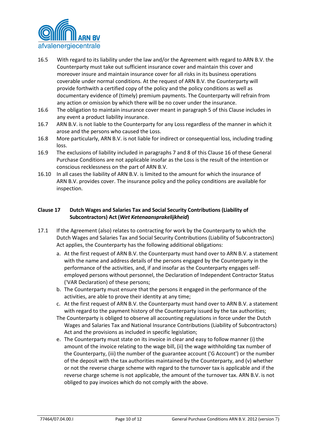

- 16.5 With regard to its liability under the law and/or the Agreement with regard to ARN B.V. the Counterparty must take out sufficient insurance cover and maintain this cover and moreover insure and maintain insurance cover for all risks in its business operations coverable under normal conditions. At the request of ARN B.V. the Counterparty will provide forthwith a certified copy of the policy and the policy conditions as well as documentary evidence of (timely) premium payments. The Counterparty will refrain from any action or omission by which there will be no cover under the insurance.
- 16.6 The obligation to maintain insurance cover meant in paragraph 5 of this Clause includes in any event a product liability insurance.
- 16.7 ARN B.V. is not liable to the Counterparty for any Loss regardless of the manner in which it arose and the persons who caused the Loss.
- 16.8 More particularly, ARN B.V. is not liable for indirect or consequential loss, including trading loss.
- 16.9 The exclusions of liability included in paragraphs 7 and 8 of this Clause 16 of these General Purchase Conditions are not applicable insofar as the Loss is the result of the intention or conscious recklessness on the part of ARN B.V.
- 16.10 In all cases the liability of ARN B.V. is limited to the amount for which the insurance of ARN B.V. provides cover. The insurance policy and the policy conditions are available for inspection.

# **Clause 17 Dutch Wages and Salaries Tax and Social Security Contributions (Liability of Subcontractors) Act (***Wet Ketenaansprakelijkheid***)**

- 17.1 If the Agreement (also) relates to contracting for work by the Counterparty to which the Dutch Wages and Salaries Tax and Social Security Contributions (Liability of Subcontractors) Act applies, the Counterparty has the following additional obligations:
	- a. At the first request of ARN B.V. the Counterparty must hand over to ARN B.V. a statement with the name and address details of the persons engaged by the Counterparty in the performance of the activities, and, if and insofar as the Counterparty engages selfemployed persons without personnel, the Declaration of Independent Contractor Status ('VAR Declaration) of these persons;
	- b. The Counterparty must ensure that the persons it engaged in the performance of the activities, are able to prove their identity at any time;
	- c. At the first request of ARN B.V. the Counterparty must hand over to ARN B.V. a statement with regard to the payment history of the Counterparty issued by the tax authorities;
	- The Counterparty is obliged to observe all accounting regulations in force under the Dutch Wages and Salaries Tax and National Insurance Contributions (Liability of Subcontractors) Act and the provisions as included in specific legislation;
	- e. The Counterparty must state on its invoice in clear and easy to follow manner (i) the amount of the invoice relating to the wage bill, (ii) the wage withholding tax number of the Counterparty, (iii) the number of the guarantee account ('G Account') or the number of the deposit with the tax authorities maintained by the Counterparty, and (v) whether or not the reverse charge scheme with regard to the turnover tax is applicable and if the reverse charge scheme is not applicable, the amount of the turnover tax. ARN B.V. is not obliged to pay invoices which do not comply with the above.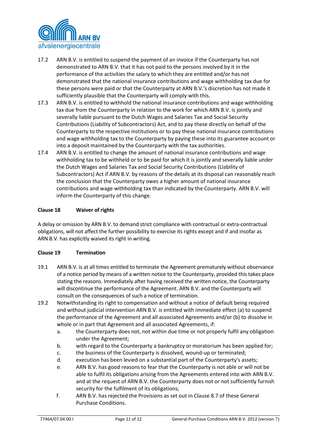

- 17.2 ARN B.V. is entitled to suspend the payment of an invoice if the Counterparty has not demonstrated to ARN B.V. that it has not paid to the persons involved by it in the performance of the activities the salary to which they are entitled and/or has not demonstrated that the national insurance contributions and wage withholding tax due for these persons were paid or that the Counterparty at ARN B.V.'s discretion has not made it sufficiently plausible that the Counterparty will comply with this.
- 17.3 ARN B.V. is entitled to withhold the national insurance contributions and wage withholding tax due from the Counterparty in relation to the work for which ARN B.V. is jointly and severally liable pursuant to the Dutch Wages and Salaries Tax and Social Security Contributions (Liability of Subcontractors) Act, and to pay these directly on behalf of the Counterparty to the respective institutions or to pay these national insurance contributions and wage withholding tax to the Counterparty by paying these into its guarantee account or into a deposit maintained by the Counterparty with the tax authorities.
- 17.4 ARN B.V. is entitled to change the amount of national insurance contributions and wage withholding tax to be withheld or to be paid for which it is jointly and severally liable under the Dutch Wages and Salaries Tax and Social Security Contributions (Liability of Subcontractors) Act if ARN B.V. by reasons of the details at its disposal can reasonably reach the conclusion that the Counterparty owes a higher amount of national insurance contributions and wage withholding tax than indicated by the Counterparty. ARN B.V. will inform the Counterparty of this change.

# **Clause 18 Waiver of rights**

A delay or omission by ARN B.V. to demand strict compliance with contractual or extra-contractual obligations, will not affect the further possibility to exercise its rights except and if and insofar as ARN B.V. has explicitly waived its right in writing.

#### **Clause 19 Termination**

- 19.1 ARN B.V. is at all times entitled to terminate the Agreement prematurely without observance of a notice period by means of a written notice to the Counterparty, provided this takes place stating the reasons. Immediately after having received the written notice, the Counterparty will discontinue the performance of the Agreement. ARN B.V. and the Counterparty will consult on the consequences of such a notice of termination.
- 19.2 Notwithstanding its right to compensation and without a notice of default being required and without judicial intervention ARN B.V. is entitled with immediate effect (a) to suspend the performance of the Agreement and all associated Agreements and/or (b) to dissolve in whole or in part that Agreement and all associated Agreements, if:
	- a. the Counterparty does not, not within due time or not properly fulfil any obligation under the Agreement;
	- b. with regard to the Counterparty a bankruptcy or moratorium has been applied for;
	- c. the business of the Counterparty is dissolved, wound-up or terminated;
	- d. execution has been levied on a substantial part of the Counterparty's assets;
	- e. ARN B.V. has good reasons to fear that the Counterparty is not able or will not be able to fulfil its obligations arising from the Agreements entered into with ARN B.V. and at the request of ARN B.V. the Counterparty does not or not sufficiently furnish security for the fulfilment of its obligations;
	- f. ARN B.V. has rejected the Provisions as set out in Clause 8.7 of these General Purchase Conditions.